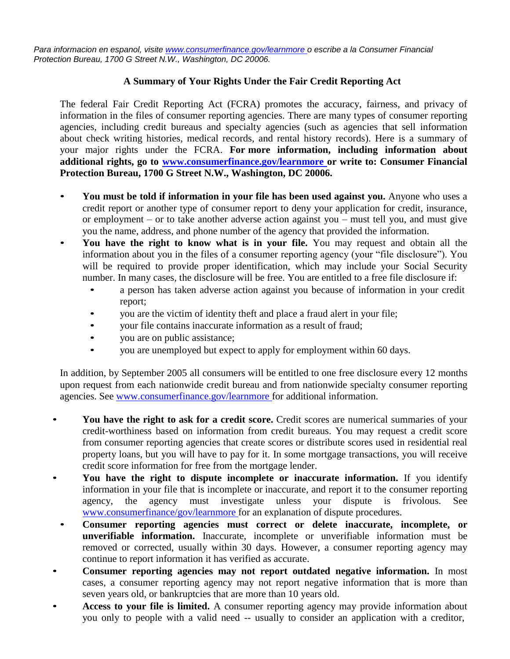*Para informacion en espanol, visite [www.consumerfinance.gov/learnmore](http://www.consumerfinance.gov/learnmore) o escribe a la Consumer Financial Protection Bureau, 1700 G Street N.W., Washington, DC 20006.*

## **A Summary of Your Rights Under the Fair Credit Reporting Act**

The federal Fair Credit Reporting Act (FCRA) promotes the accuracy, fairness, and privacy of information in the files of consumer reporting agencies. There are many types of consumer reporting agencies, including credit bureaus and specialty agencies (such as agencies that sell information about check writing histories, medical records, and rental history records). Here is a summary of your major rights under the FCRA. **For more information, including information about additional rights, go to [www.consumerfinance.gov/learnmore](http://www.consumerfinance.gov/learnmore) or write to: Consumer Financial Protection Bureau, 1700 G Street N.W., Washington, DC 20006.**

- **You must be told if information in your file has been used against you.** Anyone who uses a credit report or another type of consumer report to deny your application for credit, insurance, or employment – or to take another adverse action against you – must tell you, and must give you the name, address, and phone number of the agency that provided the information.
- **You have the right to know what is in your file.** You may request and obtain all the information about you in the files of a consumer reporting agency (your "file disclosure"). You will be required to provide proper identification, which may include your Social Security number. In many cases, the disclosure will be free. You are entitled to a free file disclosure if:
	- a person has taken adverse action against you because of information in your credit report;
	- you are the victim of identity theft and place a fraud alert in your file;
	- your file contains inaccurate information as a result of fraud;
	- you are on public assistance;
	- you are unemployed but expect to apply for employment within 60 days.

In addition, by September 2005 all consumers will be entitled to one free disclosure every 12 months upon request from each nationwide credit bureau and from nationwide specialty consumer reporting agencies. See [www.consumerfinance.gov/learnmore](http://www.consumerfinance.gov/learnmore) for additional information.

- **You have the right to ask for a credit score.** Credit scores are numerical summaries of your credit-worthiness based on information from credit bureaus. You may request a credit score from consumer reporting agencies that create scores or distribute scores used in residential real property loans, but you will have to pay for it. In some mortgage transactions, you will receive credit score information for free from the mortgage lender.
- **You have the right to dispute incomplete or inaccurate information.** If you identify information in your file that is incomplete or inaccurate, and report it to the consumer reporting agency, the agency must investigate unless your dispute is frivolous. See [www.consumerfinance/gov/learnmore](http://www.consumerfinance/gov/learnmore) for an explanation of dispute procedures.
- **Consumer reporting agencies must correct or delete inaccurate, incomplete, or unverifiable information.** Inaccurate, incomplete or unverifiable information must be removed or corrected, usually within 30 days. However, a consumer reporting agency may continue to report information it has verified as accurate.
- **Consumer reporting agencies may not report outdated negative information.** In most cases, a consumer reporting agency may not report negative information that is more than seven years old, or bankruptcies that are more than 10 years old.
- **Access to your file is limited.** A consumer reporting agency may provide information about you only to people with a valid need -- usually to consider an application with a creditor,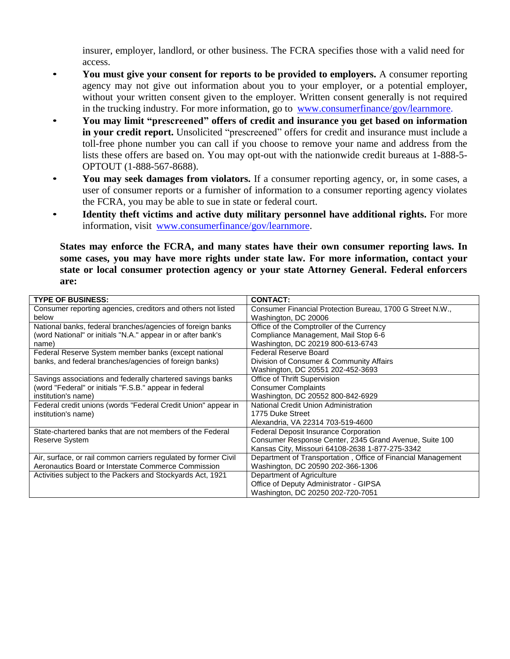insurer, employer, landlord, or other business. The FCRA specifies those with a valid need for access.

- **You must give your consent for reports to be provided to employers.** A consumer reporting agency may not give out information about you to your employer, or a potential employer, without your written consent given to the employer. Written consent generally is not required in the trucking industry. For more information, go to [www.consumerfinance/gov/learnmore.](http://www.ftc.gov/credit)
- **You may limit "prescreened" offers of credit and insurance you get based on information in your credit report.** Unsolicited "prescreened" offers for credit and insurance must include a toll-free phone number you can call if you choose to remove your name and address from the lists these offers are based on. You may opt-out with the nationwide credit bureaus at 1-888-5- OPTOUT (1-888-567-8688).
- **You may seek damages from violators.** If a consumer reporting agency, or, in some cases, a user of consumer reports or a furnisher of information to a consumer reporting agency violates the FCRA, you may be able to sue in state or federal court.
- **Identity theft victims and active duty military personnel have additional rights.** For more information, visit [www.consumerfinance/gov/learnmore.](http://www.ftc.gov/credit)

**States may enforce the FCRA, and many states have their own consumer reporting laws. In some cases, you may have more rights under state law. For more information, contact your state or local consumer protection agency or your state Attorney General. Federal enforcers are:**

| <b>TYPE OF BUSINESS:</b>                                        | <b>CONTACT:</b>                                              |
|-----------------------------------------------------------------|--------------------------------------------------------------|
| Consumer reporting agencies, creditors and others not listed    | Consumer Financial Protection Bureau, 1700 G Street N.W.,    |
| below                                                           | Washington, DC 20006                                         |
| National banks, federal branches/agencies of foreign banks      | Office of the Comptroller of the Currency                    |
| (word National" or initials "N.A." appear in or after bank's    | Compliance Management, Mail Stop 6-6                         |
| name)                                                           | Washington, DC 20219 800-613-6743                            |
| Federal Reserve System member banks (except national            | <b>Federal Reserve Board</b>                                 |
| banks, and federal branches/agencies of foreign banks)          | Division of Consumer & Community Affairs                     |
|                                                                 | Washington, DC 20551 202-452-3693                            |
| Savings associations and federally chartered savings banks      | Office of Thrift Supervision                                 |
| (word "Federal" or initials "F.S.B." appear in federal          | <b>Consumer Complaints</b>                                   |
| institution's name)                                             | Washington, DC 20552 800-842-6929                            |
| Federal credit unions (words "Federal Credit Union" appear in   | National Credit Union Administration                         |
| institution's name)                                             | 1775 Duke Street                                             |
|                                                                 | Alexandria, VA 22314 703-519-4600                            |
| State-chartered banks that are not members of the Federal       | Federal Deposit Insurance Corporation                        |
| Reserve System                                                  | Consumer Response Center, 2345 Grand Avenue, Suite 100       |
|                                                                 | Kansas City, Missouri 64108-2638 1-877-275-3342              |
| Air, surface, or rail common carriers regulated by former Civil | Department of Transportation, Office of Financial Management |
| Aeronautics Board or Interstate Commerce Commission             | Washington, DC 20590 202-366-1306                            |
| Activities subject to the Packers and Stockyards Act, 1921      | Department of Agriculture                                    |
|                                                                 | Office of Deputy Administrator - GIPSA                       |
|                                                                 | Washington, DC 20250 202-720-7051                            |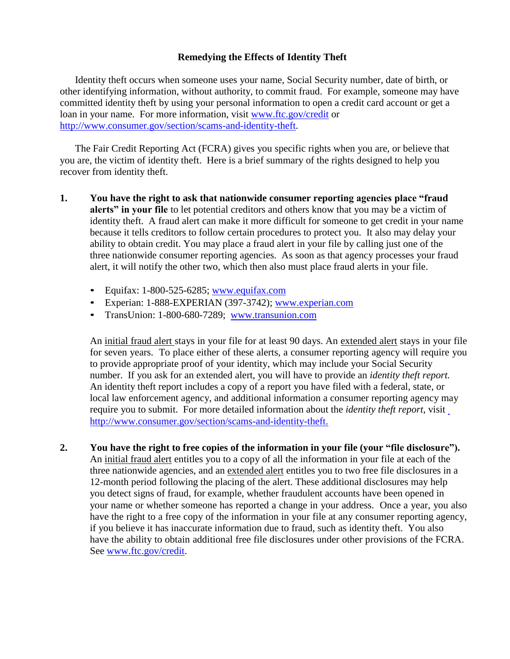## **Remedying the Effects of Identity Theft**

Identity theft occurs when someone uses your name, Social Security number, date of birth, or other identifying information, without authority, to commit fraud. For example, someone may have committed identity theft by using your personal information to open a credit card account or get a loan in your name. For more information, visit [www.ftc.gov/credit](http://www.ftc.gov/credit) or [http://www.consumer.gov/section/scams-and-identity-theft.](http://www.consumer.gov/idtheft)

The Fair Credit Reporting Act (FCRA) gives you specific rights when you are, or believe that you are, the victim of identity theft. Here is a brief summary of the rights designed to help you recover from identity theft.

- **1. You have the right to ask that nationwide consumer reporting agencies place "fraud alerts" in your file** to let potential creditors and others know that you may be a victim of identity theft. A fraud alert can make it more difficult for someone to get credit in your name because it tells creditors to follow certain procedures to protect you. It also may delay your ability to obtain credit. You may place a fraud alert in your file by calling just one of the three nationwide consumer reporting agencies. As soon as that agency processes your fraud alert, it will notify the other two, which then also must place fraud alerts in your file.
	- Equifax: 1-800-525-6285; [www.equifax.com](http://www.equifax.com/)
	- Experian: 1-888-EXPERIAN (397-3742); [www.experian.com](http://www.experian.com/)
	- TransUnion: 1-800-680-7289; [www.transunion.com](http://www.transunion.com/)

An initial fraud alert stays in your file for at least 90 days. An extended alert stays in your file for seven years. To place either of these alerts, a consumer reporting agency will require you to provide appropriate proof of your identity, which may include your Social Security number. If you ask for an extended alert, you will have to provide an *identity theft report.*  An identity theft report includes a copy of a report you have filed with a federal, state, or local law enforcement agency, and additional information a consumer reporting agency may require you to submit. For more detailed information about the *identity theft report*, visit <http://www.consumer.gov/section/scams-and-identity-theft.>

**2. You have the right to free copies of the information in your file (your "file disclosure").** An initial fraud alert entitles you to a copy of all the information in your file at each of the three nationwide agencies, and an extended alert entitles you to two free file disclosures in a 12-month period following the placing of the alert. These additional disclosures may help you detect signs of fraud, for example, whether fraudulent accounts have been opened in your name or whether someone has reported a change in your address. Once a year, you also have the right to a free copy of the information in your file at any consumer reporting agency, if you believe it has inaccurate information due to fraud, such as identity theft. You also have the ability to obtain additional free file disclosures under other provisions of the FCRA. See [www.ftc.gov/credit.](http://www.ftc.gov/credit)